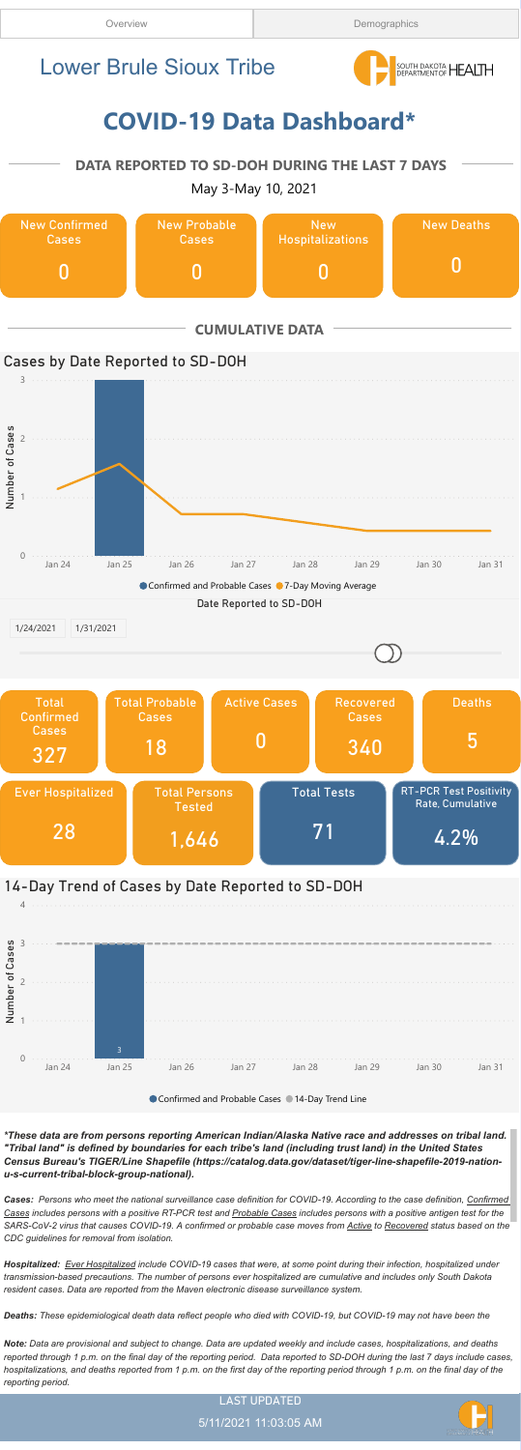



5/11/2021 11:03:05 AM

\*These data are from persons reporting American Indian/Alaska Native race and addresses on tribal land. "Tribal land" is defined by boundaries for each tribe's land (including trust land) in the United States Census Bureau's TIGER/Line Shapefile (https://catalog.data.gov/dataset/tiger-line-shapefile-2019-nationu-s-current-tribal-block-group-national).

Cases: Persons who meet the national surveillance case definition for COVID-19. According to the case definition, Confirmed Cases includes persons with a positive RT-PCR test and Probable Cases includes persons with a positive antigen test for the SARS-CoV-2 virus that causes COVID-19. A confirmed or probable case moves from Active to Recovered status based on the CDC guidelines for removal from isolation.

Hospitalized: Ever Hospitalized include COVID-19 cases that were, at some point during their infection, hospitalized under transmission-based precautions. The number of persons ever hospitalized are cumulative and includes only South Dakota resident cases. Data are reported from the Maven electronic disease surveillance system.

Deaths: These epidemiological death data reflect people who died with COVID-19, but COVID-19 may not have been the

Note: Data are provisional and subject to change. Data are updated weekly and include cases, hospitalizations, and deaths reported through 1 p.m. on the final day of the reporting period. Data reported to SD-DOH during the last 7 days include cases, hospitalizations, and deaths reported from 1 p.m. on the first day of the reporting period through 1 p.m. on the final day of the reporting period.

## 14-Day Trend of Cases by Date Reported to SD-DOH

4



## COVID-19 Data Dashboard\*



## DATA REPORTED TO SD-DOH DURING THE LAST 7 DAYS

May 3-May 10, 2021

## Lower Brule Sioux Tribe